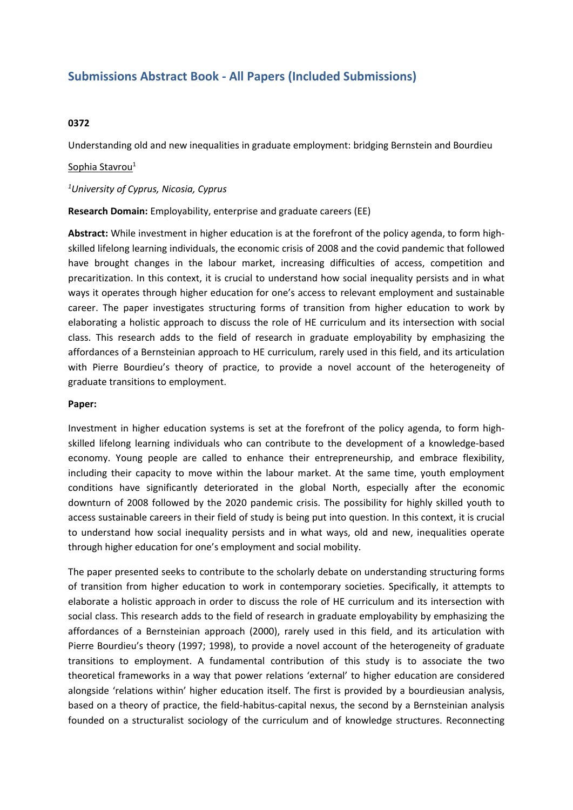## **Submissions Abstract Book - All Papers (Included Submissions)**

## **0372**

Understanding old and new inequalities in graduate employment: bridging Bernstein and Bourdieu

## Sophia Stavrou<sup>1</sup>

*1 University of Cyprus, Nicosia, Cyprus*

**Research Domain:** Employability, enterprise and graduate careers (EE)

**Abstract:** While investment in higher education is at the forefront of the policy agenda, to form highskilled lifelong learning individuals, the economic crisis of 2008 and the covid pandemic that followed have brought changes in the labour market, increasing difficulties of access, competition and precaritization. In this context, it is crucial to understand how social inequality persists and in what ways it operates through higher education for one's access to relevant employment and sustainable career. The paper investigates structuring forms of transition from higher education to work by elaborating <sup>a</sup> holistic approach to discuss the role of HE curriculum and its intersection with social class. This research adds to the field of research in graduate employability by emphasizing the affordances of <sup>a</sup> Bernsteinian approach to HE curriculum, rarely used in this field, and its articulation with Pierre Bourdieu's theory of practice, to provide <sup>a</sup> novel account of the heterogeneity of graduate transitions to employment.

## **Paper:**

Investment in higher education systems is set at the forefront of the policy agenda, to form highskilled lifelong learning individuals who can contribute to the development of <sup>a</sup> knowledge-based economy. Young people are called to enhance their entrepreneurship, and embrace flexibility, including their capacity to move within the labour market. At the same time, youth employment conditions have significantly deteriorated in the global North, especially after the economic downturn of 2008 followed by the 2020 pandemic crisis. The possibility for highly skilled youth to access sustainable careers in their field of study is being put into question. In this context, it is crucial to understand how social inequality persists and in what ways, old and new, inequalities operate through higher education for one's employment and social mobility.

The paper presented seeks to contribute to the scholarly debate on understanding structuring forms of transition from higher education to work in contemporary societies. Specifically, it attempts to elaborate <sup>a</sup> holistic approach in order to discuss the role of HE curriculum and its intersection with social class. This research adds to the field of research in graduate employability by emphasizing the affordances of a Bernsteinian approach (2000), rarely used in this field, and its articulation with Pierre Bourdieu's theory (1997; 1998), to provide <sup>a</sup> novel account of the heterogeneity of graduate transitions to employment. A fundamental contribution of this study is to associate the two theoretical frameworks in <sup>a</sup> way that power relations 'external' to higher education are considered alongside 'relations within' higher education itself. The first is provided by <sup>a</sup> bourdieusian analysis, based on <sup>a</sup> theory of practice, the field-habitus-capital nexus, the second by <sup>a</sup> Bernsteinian analysis founded on <sup>a</sup> structuralist sociology of the curriculum and of knowledge structures. Reconnecting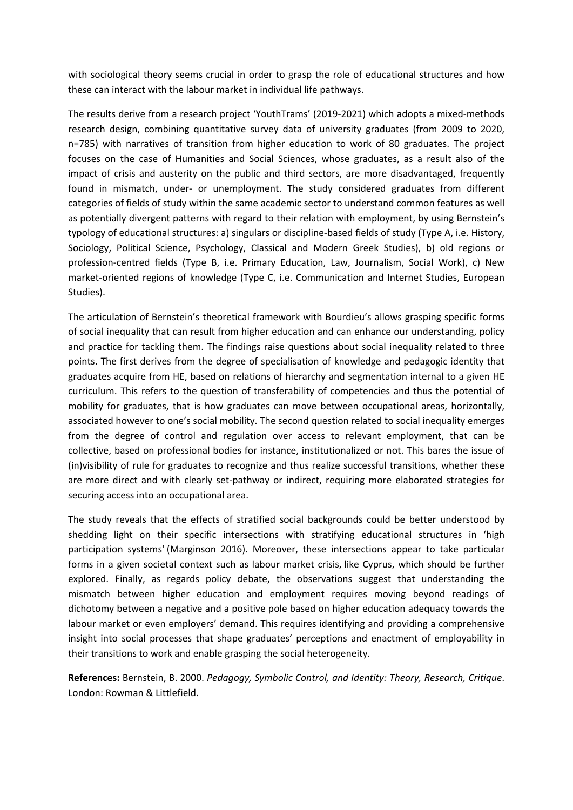with sociological theory seems crucial in order to grasp the role of educational structures and how these can interact with the labour market in individual life pathways.

The results derive from <sup>a</sup> research project 'YouthTrams' (2019-2021) which adopts <sup>a</sup> mixed-methods research design, combining quantitative survey data of university graduates (from 2009 to 2020, n=785) with narratives of transition from higher education to work of 80 graduates. The project focuses on the case of Humanities and Social Sciences, whose graduates, as <sup>a</sup> result also of the impact of crisis and austerity on the public and third sectors, are more disadvantaged, frequently found in mismatch, under- or unemployment. The study considered graduates from different categories of fields of study within the same academic sector to understand common features as well as potentially divergent patterns with regard to their relation with employment, by using Bernstein's typology of educational structures: a) singulars or discipline-based fields of study (Type A, i.e. History, Sociology, Political Science, Psychology, Classical and Modern Greek Studies), b) old regions or profession-centred fields (Type B, i.e. Primary Education, Law, Journalism, Social Work), c) New market-oriented regions of knowledge (Type C, i.e. Communication and Internet Studies, European Studies).

The articulation of Bernstein's theoretical framework with Bourdieu's allows grasping specific forms of social inequality that can result from higher education and can enhance our understanding, policy and practice for tackling them. The findings raise questions about social inequality related to three points. The first derives from the degree of specialisation of knowledge and pedagogic identity that graduates acquire from HE, based on relations of hierarchy and segmentation internal to <sup>a</sup> given HE curriculum. This refers to the question of transferability of competencies and thus the potential of mobility for graduates, that is how graduates can move between occupational areas, horizontally, associated however to one's social mobility. The second question related to social inequality emerges from the degree of control and regulation over access to relevant employment, that can be collective, based on professional bodies for instance, institutionalized or not. This bares the issue of (in)visibility of rule for graduates to recognize and thus realize successful transitions, whether these are more direct and with clearly set-pathway or indirect, requiring more elaborated strategies for securing access into an occupational area.

The study reveals that the effects of stratified social backgrounds could be better understood by shedding light on their specific intersections with stratifying educational structures in 'high participation systems' (Marginson 2016). Moreover, these intersections appear to take particular forms in <sup>a</sup> given societal context such as labour market crisis, like Cyprus, which should be further explored. Finally, as regards policy debate, the observations suggest that understanding the mismatch between higher education and employment requires moving beyond readings of dichotomy between <sup>a</sup> negative and <sup>a</sup> positive pole based on higher education adequacy towards the labour market or even employers' demand. This requires identifying and providing <sup>a</sup> comprehensive insight into social processes that shape graduates' perceptions and enactment of employability in their transitions to work and enable grasping the social heterogeneity.

**References:** Bernstein, B. 2000. *Pedagogy, Symbolic Control, and Identity: Theory, Research, Critique*. London: Rowman & Littlefield.